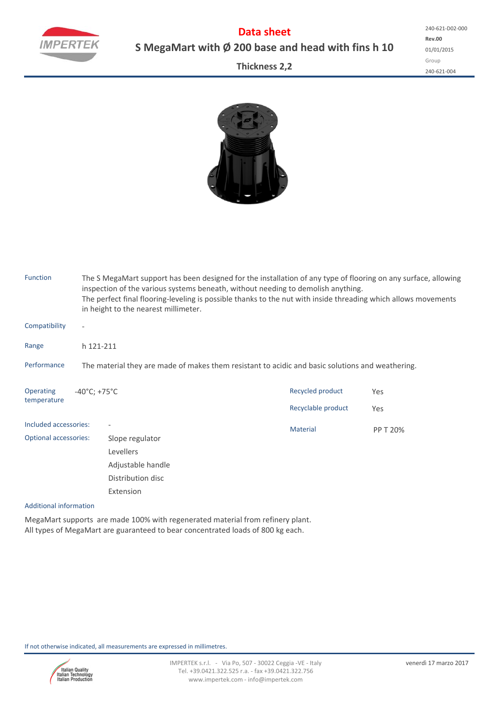

**Data sheet S MegaMart with Ø 200 base and head with fins h 10**

**Rev.00** 01/01/2015 Group 240‐621‐004 240‐621‐D02‐000

## **Thickness 2,2**



| <b>Function</b>              |                                                                                                  | The S MegaMart support has been designed for the installation of any type of flooring on any surface, allowing<br>inspection of the various systems beneath, without needing to demolish anything.<br>The perfect final flooring-leveling is possible thanks to the nut with inside threading which allows movements<br>in height to the nearest millimeter. |                    |          |  |  |  |  |  |  |  |
|------------------------------|--------------------------------------------------------------------------------------------------|--------------------------------------------------------------------------------------------------------------------------------------------------------------------------------------------------------------------------------------------------------------------------------------------------------------------------------------------------------------|--------------------|----------|--|--|--|--|--|--|--|
| Compatibility                | $\overline{a}$                                                                                   |                                                                                                                                                                                                                                                                                                                                                              |                    |          |  |  |  |  |  |  |  |
| Range                        |                                                                                                  | h 121-211                                                                                                                                                                                                                                                                                                                                                    |                    |          |  |  |  |  |  |  |  |
| Performance                  | The material they are made of makes them resistant to acidic and basic solutions and weathering. |                                                                                                                                                                                                                                                                                                                                                              |                    |          |  |  |  |  |  |  |  |
| <b>Operating</b>             | $-40^{\circ}$ C; +75 $^{\circ}$ C                                                                |                                                                                                                                                                                                                                                                                                                                                              | Recycled product   | Yes      |  |  |  |  |  |  |  |
| temperature                  |                                                                                                  |                                                                                                                                                                                                                                                                                                                                                              | Recyclable product | Yes      |  |  |  |  |  |  |  |
| Included accessories:        |                                                                                                  |                                                                                                                                                                                                                                                                                                                                                              | <b>Material</b>    | PP T 20% |  |  |  |  |  |  |  |
| <b>Optional accessories:</b> |                                                                                                  | Slope regulator                                                                                                                                                                                                                                                                                                                                              |                    |          |  |  |  |  |  |  |  |
|                              |                                                                                                  | Levellers                                                                                                                                                                                                                                                                                                                                                    |                    |          |  |  |  |  |  |  |  |
|                              |                                                                                                  | Adjustable handle                                                                                                                                                                                                                                                                                                                                            |                    |          |  |  |  |  |  |  |  |
|                              |                                                                                                  | Distribution disc                                                                                                                                                                                                                                                                                                                                            |                    |          |  |  |  |  |  |  |  |
|                              |                                                                                                  | Extension                                                                                                                                                                                                                                                                                                                                                    |                    |          |  |  |  |  |  |  |  |

### Additional information

MegaMart supports are made 100% with regenerated material from refinery plant. All types of MegaMart are guaranteed to bear concentrated loads of 800 kg each.

If not otherwise indicated, all measurements are expressed in millimetres.